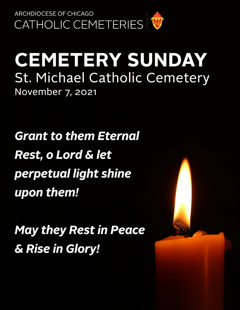

# **CEMETERY SUNDAY St. Michael Catholic Cemetery** November 7, 2021

**Grant to them Eternal Rest, o Lord & let** perpetual light shine upon them!

**May they Rest in Peace** & Rise in Glory!

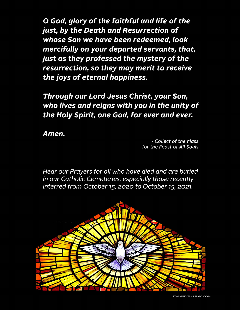O God, glory of the faithful and life of the just, by the Death and Resurrection of whose Son we have been redeemed, look mercifully on your departed servants, that, just as they professed the mystery of the resurrection, so they may merit to receive the joys of eternal happiness.

Through our Lord Jesus Christ, your Son, who lives and reigns with you in the unity of the Holy Spirit, one God, for ever and ever.

Amen.

- Collect of the Mass for the Feast of All Souls

Hear our Prayers for all who have died and are buried in our Catholic Cemeteries, especially those recently interred from October 15, 2020 to October 15, 2021.

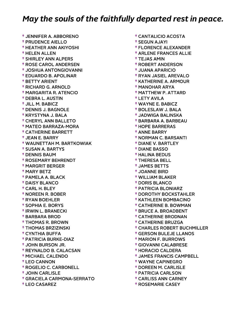† JENNIFER A. ABBORENO † PRUDENCE AIELLO † HEATHER ANN AKIYOSHI † HELEN ALLEN † SHIRLEY ANN ALPERS † ROSE CAROL ANDERSEN † JOSHUA ANTONGIOVANNI † EDUARDO B. APOLINAR † BETTY ARIENT † RICHARD G. ARNOLD † MARGARITA R. ATENCIO † DEBRA L. AUSTIN † JILL M. BABICZ † DENNIS J. BAGNOLE † KRYSTYNA J. BALA † CHERYL ANN BALLETO † MATEO BARRAZA-MORA † CATHERINE BARRETT † JEAN E. BARRY † WAUNETTAH M. BARTKOWIAK † SUSAN A. BARTYS † DENNIS BAUM † ROSEMARY BEHRENDT † MARGRIT BERGER † MARY BETZ † PAMELA A. BLACK † DAISY BLANCO † CARL H. BLEY † NOREEN R. BOBER † RYAN BOEHLER † SOPHIA E. BORYS † IRWIN L. BRANECKI † BARBARA BROD † THOMAS R. BROWN † THOMAS BRZIZINSKI † CYNTHIA BUFFA † PATRICIA BURKE-DIAZ † JOHN BURSON JR. † REYNALDO B. CALACSAN † MICHAEL CALENDO † LEO CANNON † ROGELIO C. CARBONELL † JOHN CARLISLE † GRACIELA CARMONA-SERRATO † LEO CASAREZ

 † CANTALICIO ACOSTA † SEGUN AJAYI † FLORENCE ALEXANDER † ARLENE FRANCES ALLIE † TEJAS AMIN † ROBERT ANDERSON † JUANA APARICIO † RYAN JASIEL AREVALO † KATHERINE A. ARMOUR † MANOHAR ARYA † MATTHEW P. ATTARD † LETY AVILA † WAYNE E. BABICZ † BOLESLAW J. BALA † JADWIGA BALINSKA † BARBARA A. BARBEAU † HOPE BARRERAS † ANNE BARRY † NORMAN C. BARSANTI † DIANE V. BARTLEY † DIANE BASSO † HALINA BEDUS † THERESA BELL † JAMES BETTS † JOANNE BIRD † WILLIAM BLAKER † DORIS BLANCO † PATRICIA BLONIARZ † DOROTHY BOCKSTAHLER † KATHLEEN BOMBACINO † CATHERINE B. BOWMAN † BRUCE A. BROADBENT † CATHERINE BRODNAN † CATHERINE BRUZGA † CHARLES ROBERT BUCHMILLER † GERSON BULEJE LLANOS † MARION F. BURROWS † GIOVANNI CALABRESE † HORACIO CALDERA † JAMES FRANCIS CAMPBELL † WAYNE CAPINEGRO † DOREEN M. CARLISLE † PATRICIA CARLSON † CARLISS ANN CARNEY

† ROSEMARIE CASEY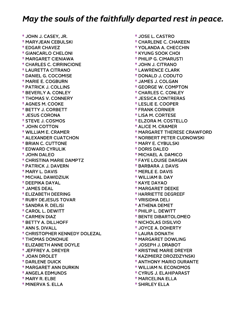† JOHN J. CASEY, JR. † MARYJEAN CEBULSKI † EDGAR CHAVEZ † GIANCARLO CHELONI † MARGARET CIENIAWA † CHARLES C. CIRRINCIONE † LAURETTA CITRANO † DANIEL G. COCOMISE † MARIE E. COGBURN † PATRICK J. COLLINS † BEVERLY A. CONLEY † THOMAS V. CONNERY † AGNES M. COOKE † BETTY J. CORBETT † JESUS CORONA † STEVE J. COSMOS † JOHN COTTON † WILLIAM E. CRAMER † ALEXANDER CUATCHON † BRIAN C. CUTTONE † EDWARD CYRULIK † JOHN DALEO † CHRISTINA MARIE DAMPTZ † PATRICK J. DAVERN † MARY L. DAVIS † MICHAL DAWIDZIUK † DEEPIKA DAYAL † JAMES DEAL † ELIZABETH DEERING † RUBY DEJESUS TOVAR † SANDRA R. DELISI † CAROL L. DEWITT † CARMEN DIAZ † BETTY A. DILLHOFF † ANN S. DIVALL † CHRISTOPHER KENNEDY DOLEZAL † THOMAS DONOHUE † ELIZABETH ANNE DOYLE † JEFFREY A. DREYER † JOAN DROLET † DARLENE DUICK † MARGARET ANN DURKIN † ANGELA EDMUNDS † MARY R. ELBE † MINERVA S. ELLA

 † JOSE L. CASTRO † CHARLENE C. CHAKEEN † YOLANDA A. CHECCHIN † KYUNG SOOK CHOI † PHILIP G. CIMARUSTI † JOHN J. CITRANO † LAWRENCE CLARK † DONALD J. CODUTO † JAMES J. COLGAN † GEORGE W. COMPTON † CHARLES C. CONLEY † JESSICA CONTRERAS † LESLIE E. COOPER † FRANK CORNIER † LISA M. CORTESE † ELZORA M. COSTELLO † ALICE M. CRAMER † MARGARET THERESE CRAWFORD † NORBERT PETER CUDNOWSKI † MARY E. CYBULSKI † DORIS DALEO † MICHAEL A. DAMICO † FAYE LOUISE DARGAN † BARBARA J. DAVIS † MERLE E. DAVIS † WILLIAM B. DAY † KAYE DAYAO † MARGARET DEEKE † HARRIETTE DEGREEF † VRISIDHA DELI † ATHENA DEMET † PHILIP L. DEWITT † BENTE DIBARTOLOMEO † NICHOLAS DISILVIO † JOYCE A. DOHERTY † LAURA DONATH † MARGARET DOWLING † JOSEPH J. DRABOT † KRISTINE MARIE DREYER † KAZIMIERZ DROZDZYNSKI † ANTHONY MARIO DURANTE † WILLIAM N. ECONOMOS † CYRUS J. ELAHIPARAST

- † MARCELINA ELLA
- † SHIRLEY ELLA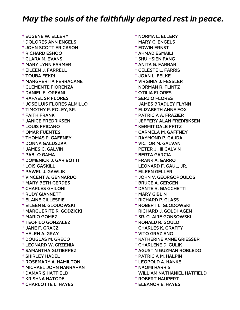† EUGENE W. ELLERY † DOLORES ANN ENGELS † JOHN SCOTT ERICKSON † RICHARD ESHOO † CLARA M. EVANS † MARY LYNN FARMER † EILEEN J. FARRELL † TOUBA FEKRI † MARGHERITA FERRACANE † CLEMENTE FIORENZA † DANIEL FLOREANI † RAFAEL SR FLORES † JOSE LUIS FLORES ALMILLO † TIMOTHY P. FOLEY, SR. † FAITH FRANK † JANICE FREDRIKSEN † LOUIS FRICANO † OMAR FUENTES † THOMAS P. GAFFNEY † DONNA GALUSZKA † JAMES C. GALVIN † PABLO GAMA † DOMENICK J. GARIBOTTI † LOIS GASKILL † PAWEL J. GAWLIK † VINCENT A. GENNARDO † MARY BETH GERDES † CHARLES GHILONI † RUDY GIANNETTI † ELAINE GILLESPIE † EILEEN B. GLODOWSKI † MARGUERITE R. GODZICKI † MARIO GOMEZ † TEOFILO GONZALEZ † JANE F. GRACZ † HELEN A. GRAY † DOUGLAS M. GRECO † LEONARD W. GRZENIA † SAMANTHA GUTIERREZ † SHIRLEY HADEL † ROSEMARY A. HAMILTON † MICHAEL JOHN HANRAHAN † DAMARIS HATFIELD † KRISHNA HATODE † CHARLOTTE L. HAYES

 † NORMA L. ELLERY † MARY C. ENGELS † EDWIN ERNST † AHMAD ESMAILI † SHU HSIEN FANG † ANITA G. FARRAR † CELESTE L. FARRIS † JOAN L. FELKE † VIRGINIA J. FESSLER † NORMAN R. FLINTZ † OTILIA FLORES † SERJIO FLORES † JAMES BRADLEY FLYNN † ELIZABETH ANNE FOX † PATRICIA A. FRAZIER † JEFFERY ALAN FREDRIKSEN † KERMIT DALE FRITZ † CARMELA M. GAFFNEY † RAYMOND P. GAJDA † VICTOR M. GALVAN † PETER J., III GALVIN † BERTA GARCIA † FRANK A. GARRO † LEONARD F. GAUL, JR. † EILEEN GELLER † JOHN V. GEORGOPOULOS † BRUCE A. GERGEN † DANTE R. GIACCHETTI † MARY GIBLIN † RICHARD P. GLASS † ROBERT L. GLODOWSKI † RICHARD J. GOLDHAGEN † SR. CLAIRE GONSOWSKI † RONALD R. GOULD † CHARLES K. GRAFFY † VITO GRAZIANO † KATHERINE ANNE GRIESSER † CHARLENE D. GULIK † AGUSTIN GUZMAN ROBLEDO † PATRICIA M. HALPIN † LEOPOLD A. HANKE † NAOMI HARRIS † WILLIAM NATHANIEL HATFIELD † ROBERT HAUPERT † ELEANOR E. HAYES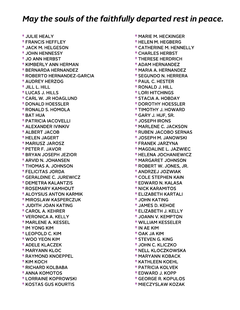† JULIE HEALY † FRANCIS HEFFLEY † JACK M. HELGESON † JOHN HENNESSY † JO ANN HERBST † KIMBERLY ANN HERMAN † BERNARDA HERNANDEZ † ROBERTO HERNANDEZ-GARCIA † AUDREY HERZOG † JILL L. HILL † LUCAS J. HILLS † CARL W. JR HOAGLUND † DONALD HOESSLER † RONALD S. HOMOLA † BAT HUA † PATRICIA IACOVELLI † ALEXANDER IVINKIV † ALBERT JACOB † HELEN JAGERT † MARIUSZ JAROSZ † PETER F. JAVOR † BRYAN JOSEPH JEZIOR † ARVID N. JOHANSEN † THOMAS A. JOHNSON † FELICITAS JORDA † GERALDINE C. JUREWICZ † DEMETRA KALANTZIS † ROSEMARY KAMHOUT † ALOYSIUS ANTON KARMIK † MIROSLAW KASPERCZUK † JUDITH JOAN KATING † CAROL A. KEHRER † VERONICA A. KELLY † MARLENE A. KESSEL † IM YONG KIM † LEOPOLD C. KIM † WOO YEON KIM † ADELE KLACZEK † MARYANN KLOC † RAYMOND KNOEPPEL † KIM KOCH † RICHARD KOLBABA † ANNA KOMOTOS † LORRAINE KOPROWSKI † KOSTAS GUS KOURTIS

 † MARIE M. HECKINGER † HELEN M. HEGBERG † CATHERINE M. HENNELLY † CHARLES HERBST † THERESE HERDRICH † ADAM HERNANDEZ † MARIA A. HERNANDEZ † SEGUNDO N. HERRERA † PAUL C. HESTER † RONALD J. HILL † LORI HITCHINGS † STACIA A. HOBDAY † DOROTHY HOESSLER † TIMOTHY J. HOWARD † GARY J. HUF, SR. † JOSEPH IRONS † MARLENE C. JACKSON † RUBEN JACOBO SERNAS † JOSEPH M. JANOWSKI † FRANEK JARZYNA † MAGDALINE L. JAZWIEC † HELENA JOCHANIEWICZ † MARGARET JOHNSON † ROBERT W. JONES, JR. † ANDRZEJ JOZWIAK † COLE STEPHEN KAIN † EDWARD N. KALASA † NICK KARAMITOS † ELIZABETH KARTALI † JOHN KATING † JAMES D. KEHOE † ELIZABETH J. KELLY † JOANN V. KEMPTON † WILLIAM KESSELER † IN AE KIM † OAK JA KIM † STEVEN G. KING † JOHN C. KLICZKO † NELL KLOCZKOWSKA † MARYANN KOBACK † KATHLEEN KOEHL † PATRICIA KOLVEK † EDWARD J. KOPP † GEORGE R. KOPULOS

† MIECZYSLAW KOZAK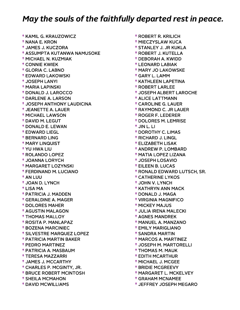† KAMIL G. KRAUZOWICZ † NANA E. KRON † JAMES J. KUCZORA † ASSUMPTA KUTANWA NAMUSOKE † MICHAEL N. KUZMIAK † CONNIE KWIEK † GLORIA C. LABNO † EDWARD LAKOWSKI † JOSEPH LANYI † MARIA LAPINSKI † DONALD J. LAROCCO † DARLENE A. LARSON † JOSEPH ANTHONY LAUDICINA † JEANETTE A. LAUER † MICHAEL LAWSON † DAVID M. LEGUT † DONALD E. LEWAN † EDWARD LIEGL † BERNARD LING † MARY LINQUIST † YU HWA LIU † ROLANDO LOPEZ † JOANNA LORYCH † MARGARET LOZYNSKI † FERDINAND M. LUCIANO † AN LUU † JOAN D. LYNCH † LISA MA † PATRICIA J. MADDEN † GERALDINE A. MAGER † DOLORES MAHER † AGUSTIN MALAGON † THOMAS MALLOY † ROSITA P. MANLAPAZ † BOZENA MARCINIEC † SILVESTRE MARQUEZ LOPEZ † PATRICIA MARTIN BAKER † PEDRO MARTINEZ † PATRICIA A. MASBAUM † TERESA MAZZARRI † JAMES J. MCCARTHY † CHARLES P. MCGINTY, JR. † BRUCE ROBERT MCINTOSH † SHEILA MCMAHON † DAVID MCWILLIAMS

 † ROBERT R. KRILICH † MIECZYSLAW KUCA † STANLEY J. JR KUKLA † ROBERT J. KUTELLA † DEBORAH A. KWIDD † LEONARD LABIAK † MARY JO LAKOWSKE † GARY L. LAMM † KATHLEEN LAPETINA † ROBERT LARLEE † JOSEPH ALBERT LAROCHE † ALICE LATTMANN † CAROLINE G. LAUER † RAYMOND C. JR LAUER † ROGER F. LEDERER † DOLORES M. LEMRISE † JIN L. LI † DOROTHY C. LIMAS † RICHARD J. LINGL † ELIZABETH LISAK † ANDREW P. LOMBARD † MATIA LOPEZ LIZANA † JOSEPH LOSAVIO † EILEEN B. LUCAS † RONALD EDWARD LUTSCH, SR. † CATHERINE LYKOS † JOHN V. LYNCH † KATHRYN ANN MACK † DONALD J. MAGA † VIRGINIA MAGNIFICO † MICKEY MAJUS † JULIA IRENA MALECKI † AGNES MANDREK † MANUEL A. MANZANO † EMILY MARIGLIANO † SANDRA MARTIN † MARCOS A. MARTINEZ † JOSEPH M. MARTORELLI † THOMAS M. MAUK † EDITH MCARTHUR † MICHAEL J. MCGEE † BRIDIE MCGREEVY † MARGARET L. MCKELVEY † GRAHAM MCNAMEE

† JEFFREY JOSEPH MEGARO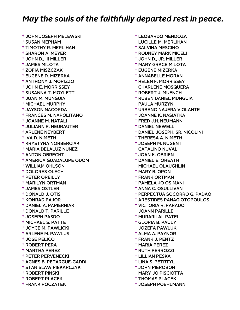† JOHN JOSEPH MELEWSKI † SUSAN MEPHAM † TIMOTHY R. MERLIHAN † SHARON A. MEYER † JOHN D., III MILLER † JAMES MILOTA † ZOFIA MISZCZAK † EUGENE D. MIZERKA † ANTHONY J. MORIZZO † JOHN E. MORRISSEY † SUSANNA T. MOYLETT † JUAN M. MUNGUIA † MICHAEL MURPHY † JAYSON NACORDA † FRANCES M. NAPOLITANO † JOANNE M. NATALI † JULIANN R. NEURAUTER † ARLENE NEYBERT † IVA D. NIMETH † KRYSTYNA NORBERCIAK † MARIA DELALUZ NUNEZ † ANTON OBRECHT † AMERICA GUADALUPE ODOM † WILLIAM OHLSON † DOLORES OLECH † PETER OREILLY † MARILYN ORTMAN † JAMES OSTLER † DONALD J. OTIS † KONRAD PAJOR † DANIEL A. PAPIERNIAK † DONALD T. PARILLE † JOSEPH PASDO † MICHAEL S. PATTE † JOYCE M. PAWLICKI † ARLENE M. PAWLUS † JOSE PELICO † ROBERT PERA † MARTHA PEREZ † PETER PERVENECKI † AGNES B. PETARGUE-GADDI † STANISLAW PIEKARCZYK † ROBERT PINSKI † ROBERT PLACEK † FRANK POCZATEK

 † LEOBARDO MENDOZA † LUCILLE M. MERLIHAN † SALVINA MESCINO † RODNEY MARK MICELI † JOHN D., JR. MILLER † MARY GRACE MILOTA † EUGENE MIZERKA † ANNABELLE MORAN † HELEN F. MORRISSEY † CHARLENE MOSQUERA † ROBERT J. MUENCH † RUBEN DANIEL MUNGUIA † PAULA MURZYN † URBANO NAJERA VIOLANTE † JOANNE K. NASIATKA † FRED J.H. NEUMANN † DANIEL NEWELL † DANIEL JOSEPH, SR. NICOLINI † THERESA A. NIMETH † JOSEPH M. NUGENT † CATALINO NUVAL † JOAN K. OBRIEN † DANIEL E. OHEATH † MICHAEL OLAUGHLIN † MARY B. OPON † FRANK ORTMAN † PAMELA JO OSIMANI † ANNA C. OSULLIVAN † PERPECTUA SOCORRO G. PADAO † ARESTIDES PANAGIOTOPOULOS † VICTORIA R. PARADO † JOANN PARILLE † MURARILAL PATEL † GLORIA B. PAULY † JOZEFA PAWLUK † ALMA A. PAYNOR † FRANK J. PENTZ † MARIA PEREZ † RUTH PERROZZI † LILLIAN PESKA † LINA S. PETRTYL † JOHN PIEROBON † MARY JO PISCIOTTA

- † THOMAS PLACEK
- † JOSEPH POEHLMANN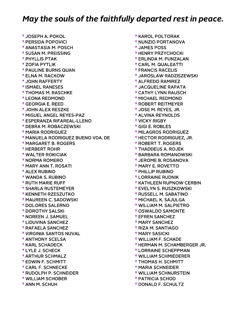† JOSEPH A. POKOL † PERSIDA POPOVICI † ANASTASIA M. POSCH † SUSAN M. PREISSING † PHYLLIS PTAK † ZOFIA PYTLIK † PAULINE BURNS QUAN † ELNA M. RACKOW † JOHN RAFFERTY † ISMAEL RANESES † THOMAS M. RASCHKE † LEONA REDMOND † GEORGIA E. REED † JOHN ALEX RESZKE † MIGUEL ANGEL REYES-PAZ † ESPERANZA RIFAREAL-LLENO † DEBRA M. ROBACZEWSKI † MARIA RODRIGUEZ † MANUELA RODRIGUEZ BUENO VDA. DE † MARGARET B. ROGERS † HERBERT ROHR † WALTER ROKICIAK † NORMA ROMERO † MARY ANN T. ROSATI † ALEX RUBINO † WANDA S. RUBINO † RUTH MARIE RUFF † SHARLA RUSTEMEYER † KENNETH RZESZUTKO † MAUREEN C. SADOWSKI † DOLORES SALERNO † DOROTHY SALSKI † NOREEN J. SAMUEL † LIDUVINA SANCHEZ † RAFAELA SANCHEZ † VIRGINIA SANTOS NUVAL † ANTHONY SCELSA † KARL SCHADECK † LYLE J. SCHECK † ARTHUR SCHMALZ † EDWIN F. SCHMITT † CARL F. SCHNECKE † RUDOLPH P. SCHNEIDER † WILLIAM SCHOBER † ANN M. SCHUH

 † KAROL POLTORAK † NUNZIO PORTANOVA † JAMES POSS † HENRY PRZYCHOCKI † ERLINDA M. PUNZALAN † CARL M. QUALEATTI † FRANCIS RACELIS † JAROSLAW RADZISZEWSKI † ALFREDO RAMIREZ † JACQUELINE RAPATA † CATHY LYNN RAUSCH † MICHAEL REDMOND † ROBERT REITMEYER † JOSE M. REYES, JR. † ALVINA REYNOLDS † VICKY RIGBY † GIGI E. ROBLES † MILAGROS RODRIGUEZ † HECTOR RODRIGUEZ, JR. † ROBERT T. ROGERS † THADDEUS A. ROJEK † BARBARA ROMANOWSKI † JEROME B. ROSANOVA † MARY E. ROVETTO † PHILLIP RUBINO † LORRAINE RUDNIK † KATHLEEN RUPNOW CERBIN † EVELYN S. RUSZKOWSKI † RUSSELL M. SABATINO † MICHAEL K. SAJULGA † WILLIAM M. SALPIETRO † OSWALDO SAMONTE † EFREN SANCHEZ † MARY SANCHEZ † RIZA M. SANTIAGO † MARY SASICKI † WILLIAM F. SCHADE † HERMAN M. SCHAMBERGER JR. † LORRAINE SCHEPPMAN † WILLIAM SCHMIEDERER † THOMAS H. SCHMITT † MARIA SCHNEIDER † WILLIAM SCHNURSTEIN † PATRICIA SCHOD † DONALD F. SCHULTZ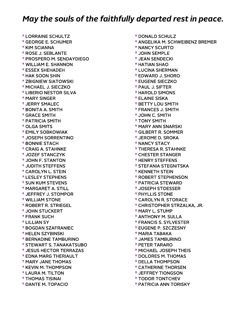† LORRAINE SCHULTZ † GEORGE E. SCHUMER † KIM SCIANNA † ROSE J. SEBLANTE † PROSPERO M. SENDAYDIEGO † WILLIAM E. SHANNON † ESSEX SHEHADEH † HAK SOON SHIN † ZBIGNIEW SIATOWSKI † MICHAEL J. SIECZKO † LIBERIO NESTOR SILVA † MARY SINGER † JERRY SMALEC † BONITA A. SMITH † GRACE SMITH † PATRICIA SMITH † OLGA SMITS † EMILY SOBKOWIAK † JOSEPH SORRENTINO † BONNIE STACH † CRAIG A. STAHNKE † JOZEF STANCZYK † JOHN F. STANTON † JUDITH STEFFENS † CAROLYN L. STEIN † LESLEY STEPHENS † SUN KUM STEVENS † MARGARET A. STILL † JEFFREY J. STOMPOR † WILLIAM STONE † ROBERT R. STRIEGEL † JOHN STUCKERT † FRANK SUCH † LILLIAN SY † BOGDAN SZAFRANIEC † HELEN SZYBINSKI † BERNADINE TAMBURINO † STEWART S. TANAKATSUBO † JESUS HECTOR TERRAZAS † EDNA MARG THERIAULT † MARY JANE THOMAS † KEVIN M. THOMPSON † LAURA M. TILTON † THOMAS TISINAI † DANTE M. TOPACIO

 † DONALD SCHULZ † ANGELIKA M. SCHWEIBENZ BREMER † NANCY SCURTO † JOHN SEMPLE † JEAN SENDECKI † HATIAN SHAO † LUCINA SHERMAN † EDWARD J. SHORO † EUGENE SIECZKO † PAUL J. SIFTER † HAROLD SIMONS † ELAINE SISKA † BETTY LOU SMITH † FRANCES J. SMITH † JOHN C. SMITH † TONY SMITH † MARY ANN SNARSKI † GILBERT R. SOMMER † JEROME D. SROKA † NANCY STACY † THERESA R. STAHNKE † CHESTER STANGER † HENRY STEFFENS † STEFANIA STEGNITSKA † KENNETH STEIN † ROBERT STEPHENSON † PATRICIA STEWARD † JOSEPH STOESSER † PHYLLIS STONE † CAROLYN R. STORACE † CHRISTOPHER STRZALKA, JR. † MARY L. STUMP † ANTHONY M. SULLA † FRANCIS S. SYLVESTER † EUGENE P. SZCZESNY † MARIA TABAKA † JAMES TAMBURINO † PETER TARARO † MICHAEL JOSEPH THEIS † DOLORES M. THOMAS † DELLA THOMPSON † CATHERINE THORSEN † JEFFREY TIONGSON † TODOR TONTCHEV † PATRICIA ANN TORISKY